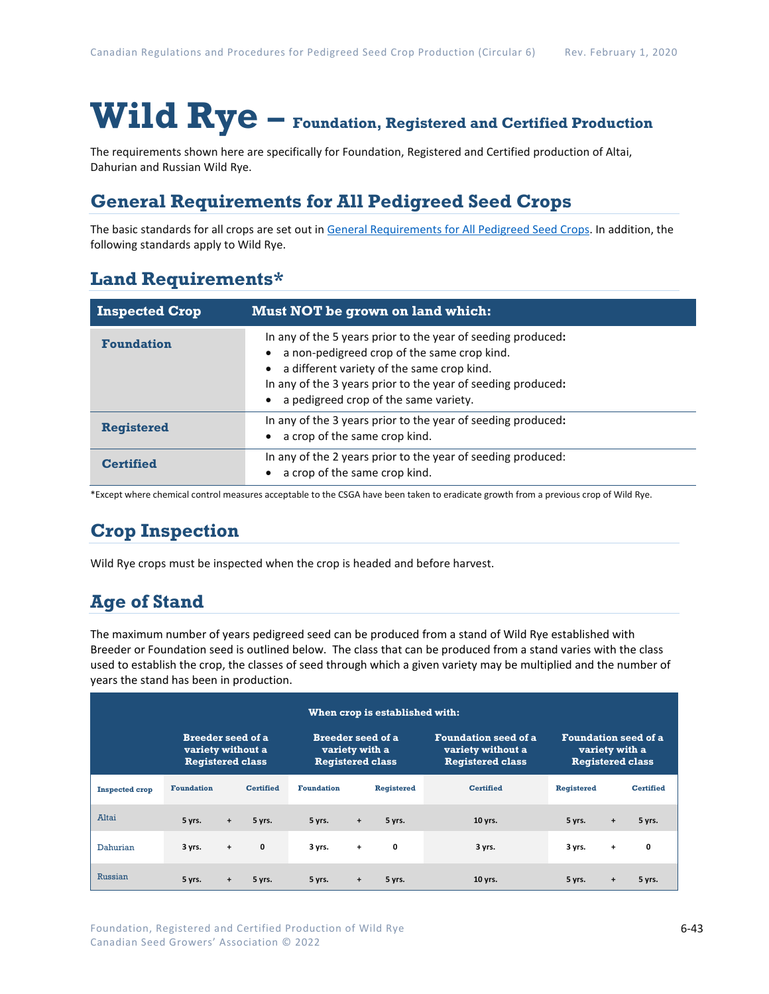# **Wild Rye – Foundation, Registered and Certified Production**

The requirements shown here are specifically for Foundation, Registered and Certified production of Altai, Dahurian and Russian Wild Rye.

## **General Requirements for All Pedigreed Seed Crops**

The basic standards for all crops are set out i[n General Requirements for All Pedigreed Seed](https://seedgrowers.ca/wp-content/uploads/2020/01/GENERAL-REQUIREMENTS-ALL-CROPS_EN.pdf) Crops. In addition, the following standards apply to Wild Rye.

## **Land Requirements\***

| <b>Inspected Crop</b> | Must NOT be grown on land which:                                                                                                                                                                                                                                   |  |
|-----------------------|--------------------------------------------------------------------------------------------------------------------------------------------------------------------------------------------------------------------------------------------------------------------|--|
| <b>Foundation</b>     | In any of the 5 years prior to the year of seeding produced:<br>a non-pedigreed crop of the same crop kind.<br>a different variety of the same crop kind.<br>In any of the 3 years prior to the year of seeding produced:<br>a pedigreed crop of the same variety. |  |
| <b>Registered</b>     | In any of the 3 years prior to the year of seeding produced:<br>a crop of the same crop kind.                                                                                                                                                                      |  |
| <b>Certified</b>      | In any of the 2 years prior to the year of seeding produced:<br>a crop of the same crop kind.                                                                                                                                                                      |  |

\*Except where chemical control measures acceptable to the CSGA have been taken to eradicate growth from a previous crop of Wild Rye.

## **Crop Inspection**

Wild Rye crops must be inspected when the crop is headed and before harvest.

## **Age of Stand**

The maximum number of years pedigreed seed can be produced from a stand of Wild Rye established with Breeder or Foundation seed is outlined below. The class that can be produced from a stand varies with the class used to establish the crop, the classes of seed through which a given variety may be multiplied and the number of years the stand has been in production.

| When crop is established with: |                                                                          |           |                                                                       |                   |           |                                                                                                                                                         |                  |                   |           |                  |
|--------------------------------|--------------------------------------------------------------------------|-----------|-----------------------------------------------------------------------|-------------------|-----------|---------------------------------------------------------------------------------------------------------------------------------------------------------|------------------|-------------------|-----------|------------------|
|                                | <b>Breeder seed of a</b><br>variety without a<br><b>Registered class</b> |           | <b>Breeder seed of a</b><br>variety with a<br><b>Registered class</b> |                   |           | <b>Foundation seed of a</b><br><b>Foundation seed of a</b><br>variety without a<br>variety with a<br><b>Registered class</b><br><b>Registered class</b> |                  |                   |           |                  |
| <b>Inspected crop</b>          | <b>Foundation</b>                                                        |           | <b>Certified</b>                                                      | <b>Foundation</b> |           | Registered                                                                                                                                              | <b>Certified</b> | <b>Registered</b> |           | <b>Certified</b> |
| Altai                          | 5 yrs.                                                                   | $+$       | 5 yrs.                                                                | 5 yrs.            | $\ddot{}$ | 5 yrs.                                                                                                                                                  | 10 yrs.          | 5 yrs.            | $\ddot{}$ | 5 yrs.           |
| Dahurian                       | 3 yrs.                                                                   | $+$       | $\mathbf 0$                                                           | 3 yrs.            | $+$       | 0                                                                                                                                                       | 3 yrs.           | 3 yrs.            | $\ddot{}$ | 0                |
| Russian                        | 5 yrs.                                                                   | $\ddot{}$ | 5 yrs.                                                                | 5 yrs.            | $\ddot{}$ | 5 yrs.                                                                                                                                                  | 10 yrs.          | 5 yrs.            | $\ddot{}$ | 5 yrs.           |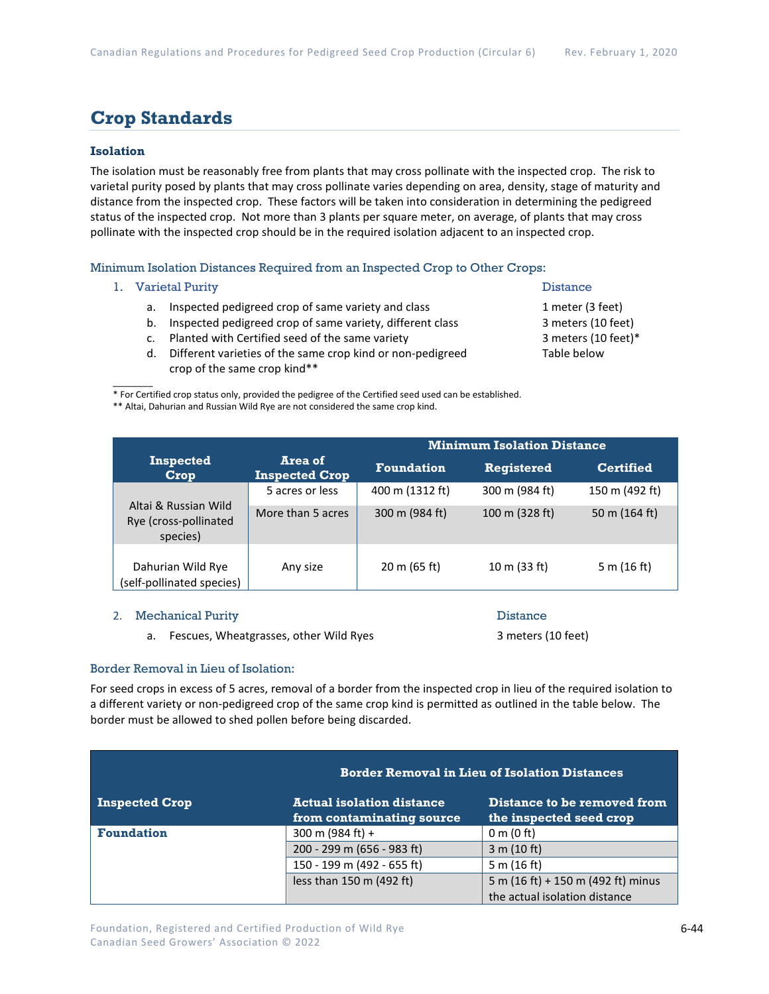## **Crop Standards**

#### **Isolation**

The isolation must be reasonably free from plants that may cross pollinate with the inspected crop. The risk to varietal purity posed by plants that may cross pollinate varies depending on area, density, stage of maturity and distance from the inspected crop. These factors will be taken into consideration in determining the pedigreed status of the inspected crop. Not more than 3 plants per square meter, on average, of plants that may cross pollinate with the inspected crop should be in the required isolation adjacent to an inspected crop.

Minimum Isolation Distances Required from an Inspected Crop to Other Crops:

1. Varietal Purity **Distance** 

 $\overline{\phantom{a}}$ 

- a. Inspected pedigreed crop of same variety and class 1 meter (3 feet)
- b. Inspected pedigreed crop of same variety, different class 3 meters (10 feet)
- c. Planted with Certified seed of the same variety 3 meters (10 feet)\*
- d. Different varieties of the same crop kind or non-pedigreed Table below crop of the same crop kind\*\*

\* For Certified crop status only, provided the pedigree of the Certified seed used can be established.

\*\* Altai, Dahurian and Russian Wild Rye are not considered the same crop kind.

|                                                           |                                  | <b>Minimum Isolation Distance</b> |                   |                  |  |
|-----------------------------------------------------------|----------------------------------|-----------------------------------|-------------------|------------------|--|
| <b>Inspected</b><br>Crop                                  | Area of<br><b>Inspected Crop</b> | <b>Foundation</b>                 | <b>Registered</b> | <b>Certified</b> |  |
|                                                           | 5 acres or less                  | 400 m (1312 ft)                   | 300 m (984 ft)    | 150 m (492 ft)   |  |
| Altai & Russian Wild<br>Rye (cross-pollinated<br>species) | More than 5 acres                | 300 m (984 ft)                    | 100 m (328 ft)    | 50 m $(164 ft)$  |  |
| Dahurian Wild Rye<br>(self-pollinated species)            | Any size                         | $20 \text{ m}$ (65 ft)            | 10 m (33 ft)      | 5 m $(16 ft)$    |  |

#### 2. Mechanical Purity Distance

a. Fescues, Wheatgrasses, other Wild Ryes 3 meters (10 feet)

### Border Removal in Lieu of Isolation:

For seed crops in excess of 5 acres, removal of a border from the inspected crop in lieu of the required isolation to a different variety or non-pedigreed crop of the same crop kind is permitted as outlined in the table below. The border must be allowed to shed pollen before being discarded.

|                       |                                                               | <b>Border Removal in Lieu of Isolation Distances</b>   |  |  |  |  |
|-----------------------|---------------------------------------------------------------|--------------------------------------------------------|--|--|--|--|
| <b>Inspected Crop</b> | <b>Actual isolation distance</b><br>from contaminating source | Distance to be removed from<br>the inspected seed crop |  |  |  |  |
| <b>Foundation</b>     | 300 m (984 ft) +                                              | 0 m (0 ft)                                             |  |  |  |  |
|                       | 200 - 299 m (656 - 983 ft)                                    | 3 m (10 ft)                                            |  |  |  |  |
|                       | 150 - 199 m (492 - 655 ft)                                    | 5 m (16 ft)                                            |  |  |  |  |
|                       | less than 150 m (492 ft)                                      | 5 m (16 ft) + 150 m (492 ft) minus                     |  |  |  |  |
|                       |                                                               | the actual isolation distance                          |  |  |  |  |

- 
-